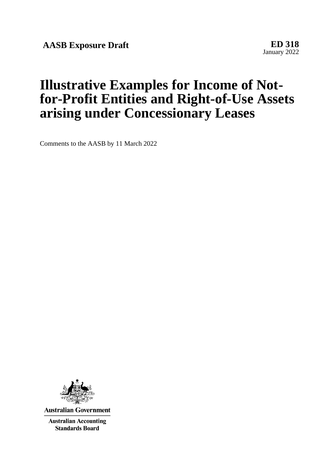**AASB Exposure Draft ED 318**

January 2022

# **Illustrative Examples for Income of Notfor-Profit Entities and Right-of-Use Assets arising under Concessionary Leases**

Comments to the AASB by 11 March 2022



**Australian Government** 

**Australian Accounting Standards Board**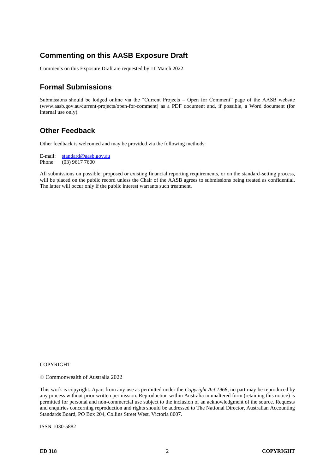# **Commenting on this AASB Exposure Draft**

Comments on this Exposure Draft are requested by 11 March 2022.

# **Formal Submissions**

Submissions should be lodged online via the "Current Projects – Open for Comment" page of the AASB website (www.aasb.gov.au/current-projects/open-for-comment) as a PDF document and, if possible, a Word document (for internal use only).

# **Other Feedback**

Other feedback is welcomed and may be provided via the following methods:

E-mail:  $\frac{\text{standard} @ \text{aasb.gov.au}}{\text{Phone:}}$ (03) 9617 7600

All submissions on possible, proposed or existing financial reporting requirements, or on the standard-setting process, will be placed on the public record unless the Chair of the AASB agrees to submissions being treated as confidential. The latter will occur only if the public interest warrants such treatment.

### COPYRIGHT

© Commonwealth of Australia 2022

This work is copyright. Apart from any use as permitted under the *Copyright Act 1968*, no part may be reproduced by any process without prior written permission. Reproduction within Australia in unaltered form (retaining this notice) is permitted for personal and non-commercial use subject to the inclusion of an acknowledgment of the source. Requests and enquiries concerning reproduction and rights should be addressed to The National Director, Australian Accounting Standards Board, PO Box 204, Collins Street West, Victoria 8007.

ISSN 1030-5882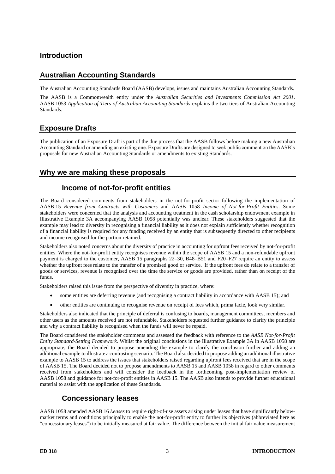# **Introduction**

# **Australian Accounting Standards**

The Australian Accounting Standards Board (AASB) develops, issues and maintains Australian Accounting Standards.

The AASB is a Commonwealth entity under the *Australian Securities and Investments Commission Act 2001*. AASB 1053 *Application of Tiers of Australian Accounting Standards* explains the two tiers of Australian Accounting **Standards** 

# **Exposure Drafts**

The publication of an Exposure Draft is part of the due process that the AASB follows before making a new Australian Accounting Standard or amending an existing one. Exposure Drafts are designed to seek public comment on the AASB's proposals for new Australian Accounting Standards or amendments to existing Standards.

# **Why we are making these proposals**

# **Income of not-for-profit entities**

The Board considered comments from stakeholders in the not-for-profit sector following the implementation of AASB 15 *Revenue from Contracts with Customers* and AASB 1058 *Income of Not-for-Profit Entities*. Some stakeholders were concerned that the analysis and accounting treatment in the cash scholarship endowment example in Illustrative Example 3A accompanying AASB 1058 potentially was unclear. These stakeholders suggested that the example may lead to diversity in recognising a financial liability as it does not explain sufficiently whether recognition of a financial liability is required for any funding received by an entity that is subsequently directed to other recipients and income recognised for the portion retained.

Stakeholders also noted concerns about the diversity of practice in accounting for upfront fees received by not-for-profit entities. Where the not-for-profit entity recognises revenue within the scope of AASB 15 and a non-refundable upfront payment is charged to the customer, AASB 15 paragraphs 22–30, B48–B51 and F20–F27 require an entity to assess whether the upfront fees relate to the transfer of a promised good or service. If the upfront fees do relate to a transfer of goods or services, revenue is recognised over the time the service or goods are provided, rather than on receipt of the funds.

Stakeholders raised this issue from the perspective of diversity in practice, where:

- some entities are deferring revenue (and recognising a contract liability in accordance with AASB 15); and
- other entities are continuing to recognise revenue on receipt of fees which, prima facie, look very similar.

Stakeholders also indicated that the principle of deferral is confusing to boards, management committees, members and other users as the amounts received are not refundable. Stakeholders requested further guidance to clarify the principle and why a contract liability is recognised when the funds will never be repaid.

The Board considered the stakeholder comments and assessed the feedback with reference to the *AASB Not-for-Profit Entity Standard-Setting Framework*. Whilst the original conclusions in the Illustrative Example 3A in AASB 1058 are appropriate, the Board decided to propose amending the example to clarify the conclusion further and adding an additional example to illustrate a contrasting scenario. The Board also decided to propose adding an additional illustrative example to AASB 15 to address the issues that stakeholders raised regarding upfront fees received that are in the scope of AASB 15. The Board decided not to propose amendments to AASB 15 and AASB 1058 in regard to other comments received from stakeholders and will consider the feedback in the forthcoming post-implementation review of AASB 1058 and guidance for not-for-profit entities in AASB 15. The AASB also intends to provide further educational material to assist with the application of these Standards.

# **Concessionary leases**

AASB 1058 amended AASB 16 *Leases* to require right-of-use assets arising under leases that have significantly belowmarket terms and conditions principally to enable the not-for-profit entity to further its objectives (abbreviated here as "concessionary leases") to be initially measured at fair value. The difference between the initial fair value measurement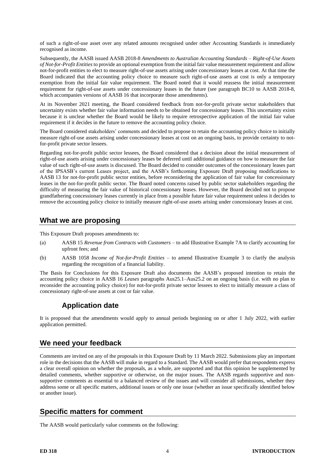of such a right-of-use asset over any related amounts recognised under other Accounting Standards is immediately recognised as income.

Subsequently, the AASB issued AASB 2018-8 *Amendments to Australian Accounting Standards – Right-of-Use Assets of Not-for-Profit Entities* to provide an optional exemption from the initial fair value measurement requirement and allow not-for-profit entities to elect to measure right-of-use assets arising under concessionary leases at cost. At that time the Board indicated that the accounting policy choice to measure such right-of-use assets at cost is only a temporary exemption from the initial fair value requirement. The Board noted that it would reassess the initial measurement requirement for right-of-use assets under concessionary leases in the future (see paragraph BC10 to AASB 2018-8, which accompanies versions of AASB 16 that incorporate those amendments).

At its November 2021 meeting, the Board considered feedback from not-for-profit private sector stakeholders that uncertainty exists whether fair value information needs to be obtained for concessionary leases. This uncertainty exists because it is unclear whether the Board would be likely to require retrospective application of the initial fair value requirement if it decides in the future to remove the accounting policy choice.

The Board considered stakeholders' comments and decided to propose to retain the accounting policy choice to initially measure right-of-use assets arising under concessionary leases at cost on an ongoing basis, to provide certainty to notfor-profit private sector lessees.

Regarding not-for-profit public sector lessees, the Board considered that a decision about the initial measurement of right-of-use assets arising under concessionary leases be deferred until additional guidance on how to measure the fair value of such right-of-use assets is discussed. The Board decided to consider outcomes of the concessionary leases part of the IPSASB's current Leases project, and the AASB's forthcoming Exposure Draft proposing modifications to AASB 13 for not-for-profit public sector entities, before reconsidering the application of fair value for concessionary leases in the not-for-profit public sector. The Board noted concerns raised by public sector stakeholders regarding the difficulty of measuring the fair value of historical concessionary leases. However, the Board decided not to propose grandfathering concessionary leases currently in place from a possible future fair value requirement unless it decides to remove the accounting policy choice to initially measure right-of-use assets arising under concessionary leases at cost.

### **What we are proposing**

This Exposure Draft proposes amendments to:

- (a) AASB 15 *Revenue from Contracts with Customers* to add Illustrative Example 7A to clarify accounting for upfront fees; and
- (b) AASB 1058 *Income of Not-for-Profit Entities* to amend Illustrative Example 3 to clarify the analysis regarding the recognition of a financial liability.

The Basis for Conclusions for this Exposure Draft also documents the AASB's proposed intention to retain the accounting policy choice in AASB 16 *Leases* paragraphs Aus25.1–Aus25.2 on an ongoing basis (i.e. with no plan to reconsider the accounting policy choice) for not-for-profit private sector lessees to elect to initially measure a class of concessionary right-of-use assets at cost or fair value.

# **Application date**

It is proposed that the amendments would apply to annual periods beginning on or after 1 July 2022, with earlier application permitted.

# **We need your feedback**

Comments are invited on any of the proposals in this Exposure Draft by 11 March 2022. Submissions play an important role in the decisions that the AASB will make in regard to a Standard. The AASB would prefer that respondents express a clear overall opinion on whether the proposals, as a whole, are supported and that this opinion be supplemented by detailed comments, whether supportive or otherwise, on the major issues. The AASB regards supportive and nonsupportive comments as essential to a balanced review of the issues and will consider all submissions, whether they address some or all specific matters, additional issues or only one issue (whether an issue specifically identified below or another issue).

# **Specific matters for comment**

The AASB would particularly value comments on the following: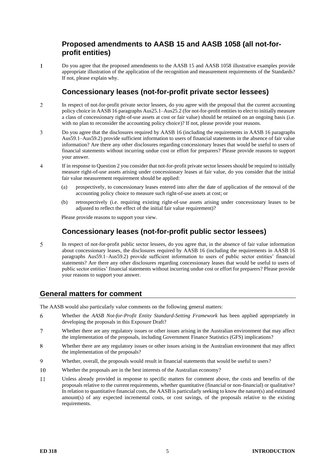# **Proposed amendments to AASB 15 and AASB 1058 (all not-forprofit entities)**

 $\overline{1}$ Do you agree that the proposed amendments to the AASB 15 and AASB 1058 illustrative examples provide appropriate illustration of the application of the recognition and measurement requirements of the Standards? If not, please explain why.

# **Concessionary leases (not-for-profit private sector lessees)**

- <span id="page-4-0"></span> $\overline{\mathcal{L}}$ In respect of not-for-profit private sector lessees, do you agree with the proposal that the current accounting policy choice in AASB 16 paragraphs Aus25.1–Aus25.2 (for not-for-profit entities to elect to initially measure a class of concessionary right-of-use assets at cost or fair value) should be retained on an ongoing basis (i.e. with no plan to reconsider the accounting policy choice)? If not, please provide your reasons.
- $\overline{3}$ Do you agree that the disclosures required by AASB 16 (including the requirements in AASB 16 paragraphs Aus59.1–Aus59.2) provide sufficient information to users of financial statements in the absence of fair value information? Are there any other disclosures regarding concessionary leases that would be useful to users of financial statements without incurring undue cost or effort for preparers? Please provide reasons to support your answer.
- $\overline{4}$ If in response to Questio[n 2](#page-4-0) you consider that not-for-profit private sector lessees should be required to initially measure right-of-use assets arising under concessionary leases at fair value, do you consider that the initial fair value measurement requirement should be applied:
	- (a) prospectively, to concessionary leases entered into after the date of application of the removal of the accounting policy choice to measure such right-of-use assets at cost; or
	- (b) retrospectively (i.e. requiring existing right-of-use assets arising under concessionary leases to be adjusted to reflect the effect of the initial fair value requirement)?

Please provide reasons to support your view.

# **Concessionary leases (not-for-profit public sector lessees)**

5 In respect of not-for-profit public sector lessees, do you agree that, in the absence of fair value information about concessionary leases, the disclosures required by AASB 16 (including the requirements in AASB 16 paragraphs Aus59.1–Aus59.2) provide sufficient information to users of public sector entities' financial statements? Are there any other disclosures regarding concessionary leases that would be useful to users of public sector entities' financial statements without incurring undue cost or effort for preparers? Please provide your reasons to support your answer.

# **General matters for comment**

The AASB would also particularly value comments on the following general matters:

- 6 Whether the *AASB Not-for-Profit Entity Standard-Setting Framework* has been applied appropriately in developing the proposals in this Exposure Draft?
- $\overline{7}$ Whether there are any regulatory issues or other issues arising in the Australian environment that may affect the implementation of the proposals, including Government Finance Statistics (GFS) implications?
- Whether there are any regulatory issues or other issues arising in the Australian environment that may affect 8 the implementation of the proposals?
- $\overline{Q}$ Whether, overall, the proposals would result in financial statements that would be useful to users?
- 10 Whether the proposals are in the best interests of the Australian economy?
- $11$ Unless already provided in response to specific matters for comment above, the costs and benefits of the proposals relative to the current requirements, whether quantitative (financial or non-financial) or qualitative? In relation to quantitative financial costs, the AASB is particularly seeking to know the nature(s) and estimated amount(s) of any expected incremental costs, or cost savings, of the proposals relative to the existing requirements.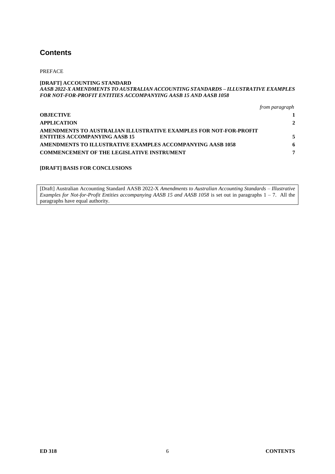# **Contents**

PREFACE

#### **[DRAFT] ACCOUNTING STANDARD** *AASB 2022-X AMENDMENTS TO AUSTRALIAN ACCOUNTING STANDARDS – ILLUSTRATIVE EXAMPLES FOR NOT-FOR-PROFIT ENTITIES ACCOMPANYING AASB 15 AND AASB 1058*

|  | from paragraph |
|--|----------------|
|--|----------------|

| <b>OBJECTIVE</b>                                                                                          |   |
|-----------------------------------------------------------------------------------------------------------|---|
| <b>APPLICATION</b>                                                                                        | 2 |
| AMENDMENTS TO AUSTRALIAN ILLUSTRATIVE EXAMPLES FOR NOT-FOR-PROFIT<br><b>ENTITIES ACCOMPANYING AASB 15</b> |   |
| AMENDMENTS TO ILLUSTRATIVE EXAMPLES ACCOMPANYING AASB 1058                                                | 6 |
| <b>COMMENCEMENT OF THE LEGISLATIVE INSTRUMENT</b>                                                         | 7 |

### **[DRAFT] BASIS FOR CONCLUSIONS**

[Draft] Australian Accounting Standard AASB 2022-X *Amendments to Australian Accounting Standards – Illustrative Examples for Not-for-Profit Entities accompanying AASB 15 and AASB 1058* is set out in paragraphs 1 – 7. All the paragraphs have equal authority.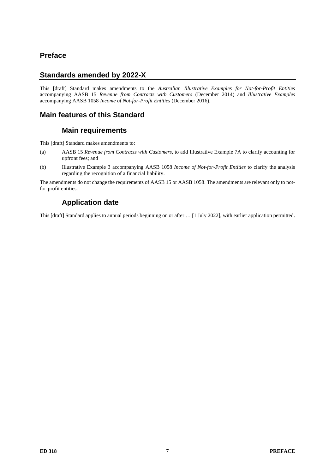# **Preface**

# **Standards amended by 2022-X**

This [draft] Standard makes amendments to the *Australian Illustrative Examples for Not-for-Profit Entities* accompanying AASB 15 *Revenue from Contracts with Customers* (December 2014) and *Illustrative Examples*  accompanying AASB 1058 *Income of Not-for-Profit Entities* (December 2016).

# **Main features of this Standard**

# **Main requirements**

This [draft] Standard makes amendments to:

- (a) AASB 15 *Revenue from Contracts with Customers*, to add Illustrative Example 7A to clarify accounting for upfront fees; and
- (b) Illustrative Example 3 accompanying AASB 1058 *Income of Not-for-Profit Entities* to clarify the analysis regarding the recognition of a financial liability.

The amendments do not change the requirements of AASB 15 or AASB 1058. The amendments are relevant only to notfor-profit entities.

# **Application date**

This [draft] Standard applies to annual periods beginning on or after … [1 July 2022], with earlier application permitted.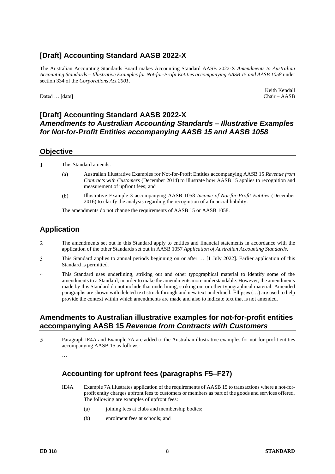# **[Draft] Accounting Standard AASB 2022-X**

The Australian Accounting Standards Board makes Accounting Standard AASB 2022-X *Amendments to Australian Accounting Standards – Illustrative Examples for Not-for-Profit Entities accompanying AASB 15 and AASB 1058* under section 334 of the *Corporations Act 2001*.

Dated ... [date]

Keith Kendall<br>Chair - AASB

# **[Draft] Accounting Standard AASB 2022-X** *Amendments to Australian Accounting Standards – Illustrative Examples for Not-for-Profit Entities accompanying AASB 15 and AASB 1058*

### **Objective**

 $\mathbf{1}$ This Standard amends:

- $(a)$ Australian Illustrative Examples for Not-for-Profit Entities accompanying AASB 15 *Revenue from Contracts with Customers* (December 2014) to illustrate how AASB 15 applies to recognition and measurement of upfront fees; and
- $(b)$ Illustrative Example 3 accompanying AASB 1058 *Income of Not-for-Profit Entities* (December 2016) to clarify the analysis regarding the recognition of a financial liability.

The amendments do not change the requirements of AASB 15 or AASB 1058.

# **Application**

- $\overline{2}$ The amendments set out in this Standard apply to entities and financial statements in accordance with the application of the other Standards set out in AASB 1057 *Application of Australian Accounting Standards*.
- This Standard applies to annual periods beginning on or after … [1 July 2022]. Earlier application of this 3 Standard is permitted.
- $\overline{\mathbf{A}}$ This Standard uses underlining, striking out and other typographical material to identify some of the amendments to a Standard, in order to make the amendments more understandable. However, the amendments made by this Standard do not include that underlining, striking out or other typographical material. Amended paragraphs are shown with deleted text struck through and new text underlined. Ellipses (…) are used to help provide the context within which amendments are made and also to indicate text that is not amended.

### **Amendments to Australian illustrative examples for not-for-profit entities accompanying AASB 15** *Revenue from Contracts with Customers*

5 Paragraph IE4A and Example 7A are added to the Australian illustrative examples for not-for-profit entities accompanying AASB 15 as follows:

# **Accounting for upfront fees (paragraphs F5–F27)**

- IE4A Example 7A illustrates application of the requirements of AASB 15 to transactions where a not-forprofit entity charges upfront fees to customers or members as part of the goods and services offered. The following are examples of upfront fees:
	- (a) joining fees at clubs and membership bodies;
	- (b) enrolment fees at schools; and

<sup>…</sup>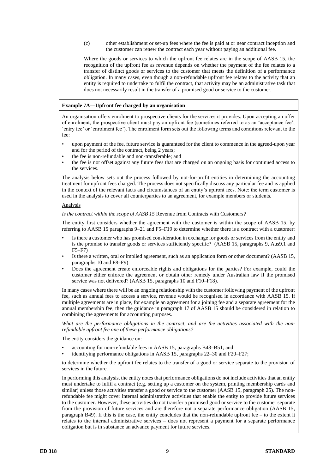(c) other establishment or set-up fees where the fee is paid at or near contract inception and the customer can renew the contract each year without paying an additional fee.

Where the goods or services to which the upfront fee relates are in the scope of AASB 15, the recognition of the upfront fee as revenue depends on whether the payment of the fee relates to a transfer of distinct goods or services to the customer that meets the definition of a performance obligation. In many cases, even though a non-refundable upfront fee relates to the activity that an entity is required to undertake to fulfil the contract, that activity may be an administrative task that does not necessarily result in the transfer of a promised good or service to the customer.

#### **Example 7A—Upfront fee charged by an organisation**

An organisation offers enrolment to prospective clients for the services it provides. Upon accepting an offer of enrolment, the prospective client must pay an upfront fee (sometimes referred to as an 'acceptance fee', 'entry fee' or 'enrolment fee'). The enrolment form sets out the following terms and conditions relevant to the fee:

- upon payment of the fee, future service is guaranteed for the client to commence in the agreed-upon year and for the period of the contract, being 2 years;
- the fee is non-refundable and non-transferable; and
- the fee is not offset against any future fees that are charged on an ongoing basis for continued access to the services.

The analysis below sets out the process followed by not-for-profit entities in determining the accounting treatment for upfront fees charged. The process does not specifically discuss any particular fee and is applied in the context of the relevant facts and circumstances of an entity's upfront fees. Note: the term customer is used in the analysis to cover all counterparties to an agreement, for example members or students.

#### Analysis

*Is the contract within the scope of AASB 15* Revenue from Contracts with Customers*?*

The entity first considers whether the agreement with the customer is within the scope of AASB 15, by referring to AASB 15 paragraphs 9–21 and F5–F19 to determine whether there is a contract with a customer:

- Is there a customer who has promised consideration in exchange for goods or services from the entity and is the promise to transfer goods or services sufficiently specific? (AASB 15, paragraphs 9, Aus9.1 and F5–F7)
- Is there a written, oral or implied agreement, such as an application form or other document? (AASB 15, paragraphs 10 and F8–F9)
- Does the agreement create enforceable rights and obligations for the parties? For example, could the customer either enforce the agreement or obtain other remedy under Australian law if the promised service was not delivered? (AASB 15, paragraphs 10 and F10–F18).

In many cases where there will be an ongoing relationship with the customer following payment of the upfront fee, such as annual fees to access a service, revenue would be recognised in accordance with AASB 15. If multiple agreements are in place, for example an agreement for a joining fee and a separate agreement for the annual membership fee, then the guidance in paragraph 17 of AASB 15 should be considered in relation to combining the agreements for accounting purposes.

What are the performance obligations in the contract, and are the activities associated with the non*refundable upfront fee one of these performance obligations?*

The entity considers the guidance on:

- accounting for non-refundable fees in AASB 15, paragraphs B48–B51; and
- identifying performance obligations in AASB 15, paragraphs 22–30 and F20–F27;

to determine whether the upfront fee relates to the transfer of a good or service separate to the provision of services in the future.

In performing this analysis, the entity notes that performance obligations do not include activities that an entity must undertake to fulfil a contract (e.g. setting up a customer on the system, printing membership cards and similar) unless those activities transfer a good or service to the customer (AASB 15, paragraph 25). The nonrefundable fee might cover internal administrative activities that enable the entity to provide future services to the customer. However, these activities do not transfer a promised good or service to the customer separate from the provision of future services and are therefore not a separate performance obligation (AASB 15, paragraph B49). If this is the case, the entity concludes that the non-refundable upfront fee – to the extent it relates to the internal administrative services – does not represent a payment for a separate performance obligation but is in substance an advance payment for future services.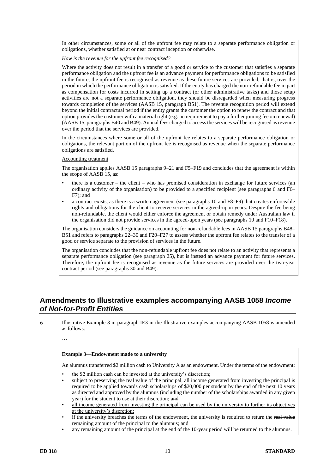In other circumstances, some or all of the upfront fee may relate to a separate performance obligation or obligations, whether satisfied at or near contract inception or otherwise.

*How is the revenue for the upfront fee recognised?*

Where the activity does not result in a transfer of a good or service to the customer that satisfies a separate performance obligation and the upfront fee is an advance payment for performance obligations to be satisfied in the future, the upfront fee is recognised as revenue as these future services are provided, that is, over the period in which the performance obligation is satisfied. If the entity has charged the non-refundable fee in part as compensation for costs incurred in setting up a contract (or other administrative tasks) and those setup activities are not a separate performance obligation, they should be disregarded when measuring progress towards completion of the services (AASB 15, paragraph B51). The revenue recognition period will extend beyond the initial contractual period if the entity grants the customer the option to renew the contract and that option provides the customer with a material right (e.g. no requirement to pay a further joining fee on renewal) (AASB 15, paragraphs B40 and B49). Annual fees charged to access the services will be recognised as revenue over the period that the services are provided.

In the circumstances where some or all of the upfront fee relates to a separate performance obligation or obligations, the relevant portion of the upfront fee is recognised as revenue when the separate performance obligations are satisfied.

#### Accounting treatment

The organisation applies AASB 15 paragraphs 9–21 and F5–F19 and concludes that the agreement is within the scope of AASB 15, as:

- there is a customer the client who has promised consideration in exchange for future services (an ordinary activity of the organisation) to be provided to a specified recipient (see paragraphs 6 and F6– F7); and
- a contract exists, as there is a written agreement (see paragraphs 10 and F8–F9) that creates enforceable rights and obligations for the client to receive services in the agreed-upon years. Despite the fee being non-refundable, the client would either enforce the agreement or obtain remedy under Australian law if the organisation did not provide services in the agreed-upon years (see paragraphs 10 and F10–F18).

The organisation considers the guidance on accounting for non-refundable fees in AASB 15 paragraphs B48– B51 and refers to paragraphs 22–30 and F20–F27 to assess whether the upfront fee relates to the transfer of a good or service separate to the provision of services in the future.

The organisation concludes that the non-refundable upfront fee does not relate to an activity that represents a separate performance obligation (see paragraph 25), but is instead an advance payment for future services. Therefore, the upfront fee is recognised as revenue as the future services are provided over the two-year contract period (see paragraphs 30 and B49).

# **Amendments to Illustrative examples accompanying AASB 1058** *Income of Not-for-Profit Entities*

Illustrative Example 3 in paragraph IE3 in the Illustrative examples accompanying AASB 1058 is amended 6 as follows:

#### **Example 3—Endowment made to a university**

An alumnus transferred \$2 million cash to University A as an endowment. Under the terms of the endowment:

- the \$2 million cash can be invested at the university's discretion;
- subject to preserving the real value of the principal, all income generated from investing the principal is required to be applied towards cash scholarships of \$20,000 per student by the end of the next 10 years as directed and approved by the alumnus (including the number of the scholarships awarded in any given year) for the student to use at their discretion; and
- all income generated from investing the principal can be used by the university to further its objectives at the university's discretion;
- if the university breaches the terms of the endowment, the university is required to return the real value remaining amount of the principal to the alumnus; and
- any remaining amount of the principal at the end of the 10-year period will be returned to the alumnus.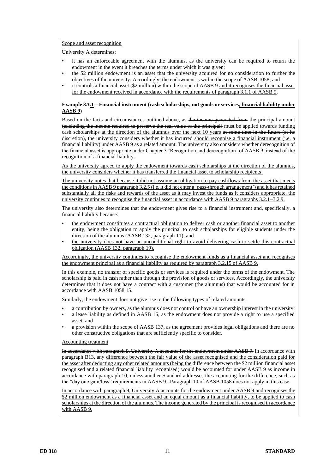#### Scope and asset recognition

University A determines:

- it has an enforceable agreement with the alumnus, as the university can be required to return the endowment in the event it breaches the terms under which it was given;
- the \$2 million endowment is an asset that the university acquired for no consideration to further the objectives of the university. Accordingly, the endowment is within the scope of AASB 1058; and
- it controls a financial asset (\$2 million) within the scope of AASB 9 and it recognises the financial asset for the endowment received in accordance with the requirements of paragraph 3.1.1 of AASB 9.

#### **Example 3A.1 – Financial instrument (cash scholarships, not goods or services, financial liability under AASB 9)**

Based on the facts and circumstances outlined above, as the income generated from the principal amount (excluding the income required to preserve the real value of the principal) must be applied towards funding cash scholarships at the direction of the alumnus over the next 10 years at some time in the future (at its discretion), the university considers whether it has incurred should recognise a financial instrument (i.e. a financial liability) under AASB 9 as a related amount. The university also considers whether derecognition of the financial asset is appropriate under Chapter 3 'Recognition and derecognition' of AASB 9, instead of the recognition of a financial liability.

As the university agreed to apply the endowment towards cash scholarships at the direction of the alumnus, the university considers whether it has transferred the financial asset to scholarship recipients.

The university notes that because it did not assume an obligation to pay cashflows from the asset that meets the conditions in AASB 9 paragraph 3.2.5 (i.e. it did not enter a 'pass-through arrangement') and it has retained substantially all the risks and rewards of the asset as it may invest the funds as it considers appropriate, the university continues to recognise the financial asset in accordance with AASB 9 paragraphs 3.2.1–3.2.9.

The university also determines that the endowment gives rise to a financial instrument and, specifically, a financial liability because:

- the endowment constitutes a contractual obligation to deliver cash or another financial asset to another entity, being the obligation to apply the principal to cash scholarships for eligible students under the direction of the alumnus (AASB 132, paragraph 11); and
- the university does not have an unconditional right to avoid delivering cash to settle this contractual obligation (AASB 132, paragraph 19).

Accordingly, the university continues to recognise the endowment funds as a financial asset and recognises the endowment principal as a financial liability as required by paragraph 3.2.15 of AASB 9.

In this example, no transfer of specific goods or services is required under the terms of the endowment. The scholarship is paid in cash rather than through the provision of goods or services. Accordingly, the university determines that it does not have a contract with a customer (the alumnus) that would be accounted for in accordance with AASB 1058 15.

Similarly, the endowment does not give rise to the following types of related amounts:

- a contribution by owners, as the alumnus does not control or have an ownership interest in the university;
- a lease liability as defined in AASB 16, as the endowment does not provide a right to use a specified asset; and
- a provision within the scope of AASB 137, as the agreement provides legal obligations and there are no other constructive obligations that are sufficiently specific to consider.

#### Accounting treatment

In accordance with paragraph 9, University A accounts for the endowment under AASB 9. In accordance with paragraph B13, any difference between the fair value of the asset recognised and the consideration paid for the asset after deducting any other related amounts (being the difference between the \$2 million financial asset recognised and a related financial liability recognised) would be accounted for under AASB 9 as income in accordance with paragraph 10, unless another Standard addresses the accounting for the difference, such as the "day one gain/loss" requirements in AASB 9. Paragraph 10 of AASB 1058 does not apply in this case.

In accordance with paragraph 9, University A accounts for the endowment under AASB 9 and recognises the \$2 million endowment as a financial asset and an equal amount as a financial liability, to be applied to cash scholarships at the direction of the alumnus. The income generated by the principal is recognised in accordance with AASB 9.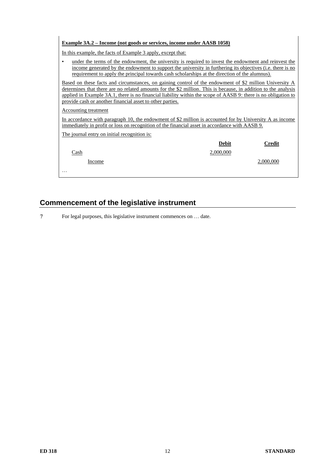#### **Example 3A.2 – Income (not goods or services, income under AASB 1058)**

In this example, the facts of Example 3 apply, except that:

under the terms of the endowment, the university is required to invest the endowment and reinvest the income generated by the endowment to support the university in furthering its objectives (i.e. there is no requirement to apply the principal towards cash scholarships at the direction of the alumnus).

Based on these facts and circumstances, on gaining control of the endowment of \$2 million University A determines that there are no related amounts for the \$2 million. This is because, in addition to the analysis applied in Example 3A.1, there is no financial liability within the scope of AASB 9: there is no obligation to provide cash or another financial asset to other parties.

#### Accounting treatment

In accordance with paragraph 10, the endowment of \$2 million is accounted for by University A as income immediately in profit or loss on recognition of the financial asset in accordance with AASB 9.

The journal entry on initial recognition is:

|             | <b>Debit</b> | <b>Credit</b> |
|-------------|--------------|---------------|
| <u>Cash</u> | 2,000,000    |               |
| Income      |              | 2,000,000     |
| $\cdots$    |              |               |

# **Commencement of the legislative instrument**

 $\overline{7}$ For legal purposes, this legislative instrument commences on … date.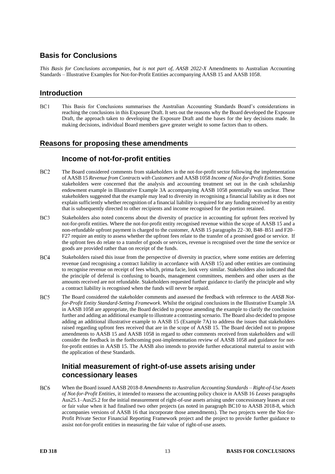# **Basis for Conclusions**

*This Basis for Conclusions accompanies, but is not part of, AASB 2022-X* Amendments to Australian Accounting Standards – Illustrative Examples for Not-for-Profit Entities accompanying AASB 15 and AASB 1058.

### **Introduction**

 $BC1$ This Basis for Conclusions summarises the Australian Accounting Standards Board's considerations in reaching the conclusions in this Exposure Draft. It sets out the reasons why the Board developed the Exposure Draft, the approach taken to developing the Exposure Draft and the bases for the key decisions made. In making decisions, individual Board members gave greater weight to some factors than to others.

# **Reasons for proposing these amendments**

### **Income of not-for-profit entities**

- BC<sub>2</sub> The Board considered comments from stakeholders in the not-for-profit sector following the implementation of AASB 15 *Revenue from Contracts with Customers* and AASB 1058 *Income of Not-for-Profit Entities*. Some stakeholders were concerned that the analysis and accounting treatment set out in the cash scholarship endowment example in Illustrative Example 3A accompanying AASB 1058 potentially was unclear. These stakeholders suggested that the example may lead to diversity in recognising a financial liability as it does not explain sufficiently whether recognition of a financial liability is required for any funding received by an entity that is subsequently directed to other recipients and income recognised for the portion retained.
- BC<sub>3</sub> Stakeholders also noted concerns about the diversity of practice in accounting for upfront fees received by not-for-profit entities. Where the not-for-profit entity recognised revenue within the scope of AASB 15 and a non-refundable upfront payment is charged to the customer, AASB 15 paragraphs 22–30, B48–B51 and F20– F27 require an entity to assess whether the upfront fees relate to the transfer of a promised good or service. If the upfront fees do relate to a transfer of goods or services, revenue is recognised over the time the service or goods are provided rather than on receipt of the funds.
- $BC4$ Stakeholders raised this issue from the perspective of diversity in practice, where some entities are deferring revenue (and recognising a contract liability in accordance with AASB 15) and other entities are continuing to recognise revenue on receipt of fees which, prima facie, look very similar. Stakeholders also indicated that the principle of deferral is confusing to boards, management committees, members and other users as the amounts received are not refundable. Stakeholders requested further guidance to clarify the principle and why a contract liability is recognised when the funds will never be repaid.
- BC5 The Board considered the stakeholder comments and assessed the feedback with reference to the *AASB Notfor-Profit Entity Standard-Setting Framework*. Whilst the original conclusions in the Illustrative Example 3A in AASB 1058 are appropriate, the Board decided to propose amending the example to clarify the conclusion further and adding an additional example to illustrate a contrasting scenario. The Board also decided to propose adding an additional illustrative example to AASB 15 (Example 7A) to address the issues that stakeholders raised regarding upfront fees received that are in the scope of AASB 15. The Board decided not to propose amendments to AASB 15 and AASB 1058 in regard to other comments received from stakeholders and will consider the feedback in the forthcoming post-implementation review of AASB 1058 and guidance for notfor-profit entities in AASB 15. The AASB also intends to provide further educational material to assist with the application of these Standards.

### **Initial measurement of right-of-use assets arising under concessionary leases**

BC<sub>6</sub> When the Board issued AASB 2018-8 *Amendments to Australian Accounting Standards – Right-of-Use Assets of Not-for-Profit Entities*, it intended to reassess the accounting policy choice in AASB 16 *Leases* paragraphs Aus25.1–Aus25.2 for the initial measurement of right-of-use assets arising under concessionary leases at cost or fair value when it had finalised two other projects (as noted in paragraph BC10 to AASB 2018-8, which accompanies versions of AASB 16 that incorporate those amendments). The two projects were the Not-for-Profit Private Sector Financial Reporting Framework project and the project to provide further guidance to assist not-for-profit entities in measuring the fair value of right-of-use assets.